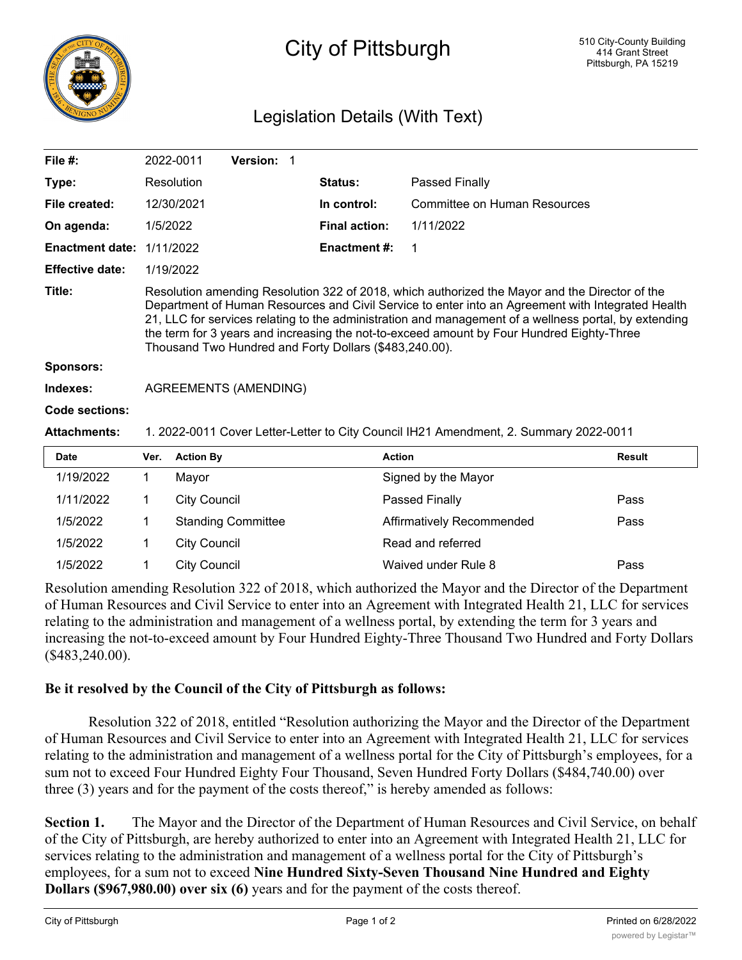

## City of Pittsburgh

## Legislation Details (With Text)

| File $#$ :             |                                                                                                                                                                                                                                                                                                                                                                                                                                                                     | 2022-0011           | Version: 1                |  |                      |                              |               |
|------------------------|---------------------------------------------------------------------------------------------------------------------------------------------------------------------------------------------------------------------------------------------------------------------------------------------------------------------------------------------------------------------------------------------------------------------------------------------------------------------|---------------------|---------------------------|--|----------------------|------------------------------|---------------|
| Type:                  |                                                                                                                                                                                                                                                                                                                                                                                                                                                                     | <b>Resolution</b>   |                           |  | Status:              | Passed Finally               |               |
| File created:          |                                                                                                                                                                                                                                                                                                                                                                                                                                                                     | 12/30/2021          |                           |  | In control:          | Committee on Human Resources |               |
| On agenda:             | 1/5/2022                                                                                                                                                                                                                                                                                                                                                                                                                                                            |                     |                           |  | <b>Final action:</b> | 1/11/2022                    |               |
| <b>Enactment date:</b> |                                                                                                                                                                                                                                                                                                                                                                                                                                                                     | 1/11/2022           |                           |  | Enactment #:         | 1                            |               |
| <b>Effective date:</b> |                                                                                                                                                                                                                                                                                                                                                                                                                                                                     | 1/19/2022           |                           |  |                      |                              |               |
| Title:                 | Resolution amending Resolution 322 of 2018, which authorized the Mayor and the Director of the<br>Department of Human Resources and Civil Service to enter into an Agreement with Integrated Health<br>21, LLC for services relating to the administration and management of a wellness portal, by extending<br>the term for 3 years and increasing the not-to-exceed amount by Four Hundred Eighty-Three<br>Thousand Two Hundred and Forty Dollars (\$483,240.00). |                     |                           |  |                      |                              |               |
| <b>Sponsors:</b>       |                                                                                                                                                                                                                                                                                                                                                                                                                                                                     |                     |                           |  |                      |                              |               |
| Indexes:               | <b>AGREEMENTS (AMENDING)</b>                                                                                                                                                                                                                                                                                                                                                                                                                                        |                     |                           |  |                      |                              |               |
| Code sections:         |                                                                                                                                                                                                                                                                                                                                                                                                                                                                     |                     |                           |  |                      |                              |               |
| <b>Attachments:</b>    | 1. 2022-0011 Cover Letter-Letter to City Council IH21 Amendment, 2. Summary 2022-0011                                                                                                                                                                                                                                                                                                                                                                               |                     |                           |  |                      |                              |               |
| <b>Date</b>            | Ver.                                                                                                                                                                                                                                                                                                                                                                                                                                                                | <b>Action By</b>    |                           |  | <b>Action</b>        |                              | <b>Result</b> |
| 1/19/2022              | 1                                                                                                                                                                                                                                                                                                                                                                                                                                                                   | Mayor               |                           |  |                      | Signed by the Mayor          |               |
| 1/11/2022              | 1                                                                                                                                                                                                                                                                                                                                                                                                                                                                   | <b>City Council</b> |                           |  |                      | Passed Finally               | Pass          |
| 1/5/2022               | 1                                                                                                                                                                                                                                                                                                                                                                                                                                                                   |                     | <b>Standing Committee</b> |  |                      | Affirmatively Recommended    | Pass          |
| 1/5/2022               |                                                                                                                                                                                                                                                                                                                                                                                                                                                                     | <b>City Council</b> |                           |  |                      | Read and referred            |               |

Resolution amending Resolution 322 of 2018, which authorized the Mayor and the Director of the Department of Human Resources and Civil Service to enter into an Agreement with Integrated Health 21, LLC for services relating to the administration and management of a wellness portal, by extending the term for 3 years and increasing the not-to-exceed amount by Four Hundred Eighty-Three Thousand Two Hundred and Forty Dollars (\$483,240.00).

1/5/2022 1 City Council Waived under Rule 8 Pass

## **Be it resolved by the Council of the City of Pittsburgh as follows:**

Resolution 322 of 2018, entitled "Resolution authorizing the Mayor and the Director of the Department of Human Resources and Civil Service to enter into an Agreement with Integrated Health 21, LLC for services relating to the administration and management of a wellness portal for the City of Pittsburgh's employees, for a sum not to exceed Four Hundred Eighty Four Thousand, Seven Hundred Forty Dollars (\$484,740.00) over three (3) years and for the payment of the costs thereof," is hereby amended as follows:

**Section 1.** The Mayor and the Director of the Department of Human Resources and Civil Service, on behalf of the City of Pittsburgh, are hereby authorized to enter into an Agreement with Integrated Health 21, LLC for services relating to the administration and management of a wellness portal for the City of Pittsburgh's employees, for a sum not to exceed **Nine Hundred Sixty-Seven Thousand Nine Hundred and Eighty Dollars (\$967,980.00) over six (6)** years and for the payment of the costs thereof.